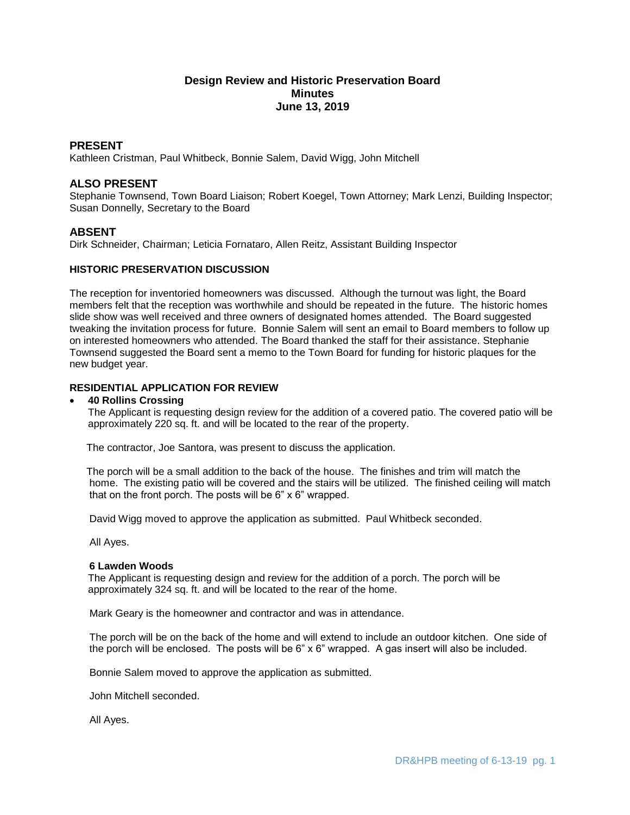# **Design Review and Historic Preservation Board Minutes June 13, 2019**

### **PRESENT**

Kathleen Cristman, Paul Whitbeck, Bonnie Salem, David Wigg, John Mitchell

## **ALSO PRESENT**

Stephanie Townsend, Town Board Liaison; Robert Koegel, Town Attorney; Mark Lenzi, Building Inspector; Susan Donnelly, Secretary to the Board

### **ABSENT**

Dirk Schneider, Chairman; Leticia Fornataro, Allen Reitz, Assistant Building Inspector

### **HISTORIC PRESERVATION DISCUSSION**

The reception for inventoried homeowners was discussed. Although the turnout was light, the Board members felt that the reception was worthwhile and should be repeated in the future. The historic homes slide show was well received and three owners of designated homes attended. The Board suggested tweaking the invitation process for future. Bonnie Salem will sent an email to Board members to follow up on interested homeowners who attended. The Board thanked the staff for their assistance. Stephanie Townsend suggested the Board sent a memo to the Town Board for funding for historic plaques for the new budget year.

## **RESIDENTIAL APPLICATION FOR REVIEW**

#### **40 Rollins Crossing**

The Applicant is requesting design review for the addition of a covered patio. The covered patio will be approximately 220 sq. ft. and will be located to the rear of the property.

The contractor, Joe Santora, was present to discuss the application.

 The porch will be a small addition to the back of the house. The finishes and trim will match the home. The existing patio will be covered and the stairs will be utilized. The finished ceiling will match that on the front porch. The posts will be 6" x 6" wrapped.

David Wigg moved to approve the application as submitted. Paul Whitbeck seconded.

All Ayes.

### **6 Lawden Woods**

The Applicant is requesting design and review for the addition of a porch. The porch will be approximately 324 sq. ft. and will be located to the rear of the home.

Mark Geary is the homeowner and contractor and was in attendance.

 The porch will be on the back of the home and will extend to include an outdoor kitchen. One side of the porch will be enclosed. The posts will be 6" x 6" wrapped. A gas insert will also be included.

Bonnie Salem moved to approve the application as submitted.

John Mitchell seconded.

All Ayes.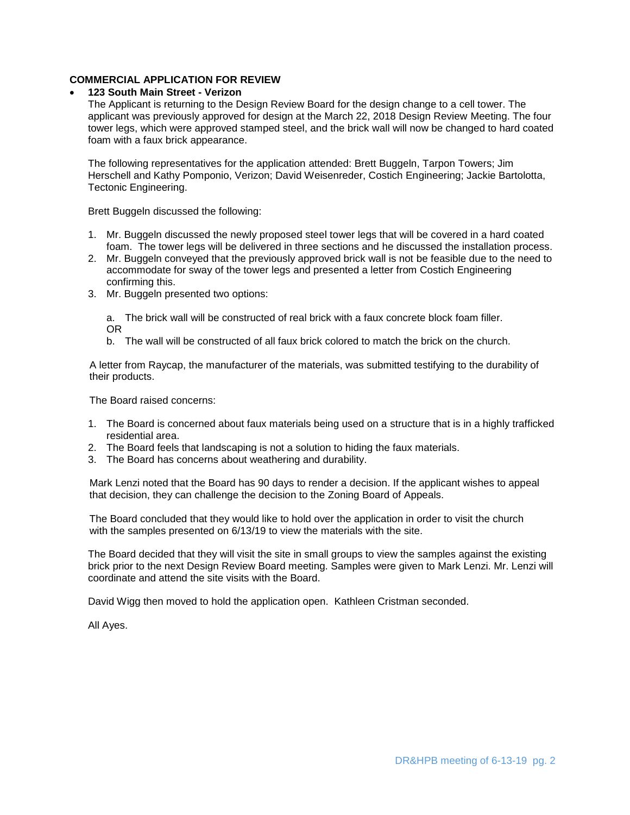## **COMMERCIAL APPLICATION FOR REVIEW**

### **123 South Main Street - Verizon**

The Applicant is returning to the Design Review Board for the design change to a cell tower. The applicant was previously approved for design at the March 22, 2018 Design Review Meeting. The four tower legs, which were approved stamped steel, and the brick wall will now be changed to hard coated foam with a faux brick appearance.

The following representatives for the application attended: Brett Buggeln, Tarpon Towers; Jim Herschell and Kathy Pomponio, Verizon; David Weisenreder, Costich Engineering; Jackie Bartolotta, Tectonic Engineering.

Brett Buggeln discussed the following:

- 1. Mr. Buggeln discussed the newly proposed steel tower legs that will be covered in a hard coated foam. The tower legs will be delivered in three sections and he discussed the installation process.
- 2. Mr. Buggeln conveyed that the previously approved brick wall is not be feasible due to the need to accommodate for sway of the tower legs and presented a letter from Costich Engineering confirming this.
- 3. Mr. Buggeln presented two options:

a. The brick wall will be constructed of real brick with a faux concrete block foam filler. OR

b. The wall will be constructed of all faux brick colored to match the brick on the church.

 A letter from Raycap, the manufacturer of the materials, was submitted testifying to the durability of their products.

The Board raised concerns:

- 1. The Board is concerned about faux materials being used on a structure that is in a highly trafficked residential area.
- 2. The Board feels that landscaping is not a solution to hiding the faux materials.
- 3. The Board has concerns about weathering and durability.

 Mark Lenzi noted that the Board has 90 days to render a decision. If the applicant wishes to appeal that decision, they can challenge the decision to the Zoning Board of Appeals.

 The Board concluded that they would like to hold over the application in order to visit the church with the samples presented on 6/13/19 to view the materials with the site.

The Board decided that they will visit the site in small groups to view the samples against the existing brick prior to the next Design Review Board meeting. Samples were given to Mark Lenzi. Mr. Lenzi will coordinate and attend the site visits with the Board.

David Wigg then moved to hold the application open. Kathleen Cristman seconded.

All Ayes.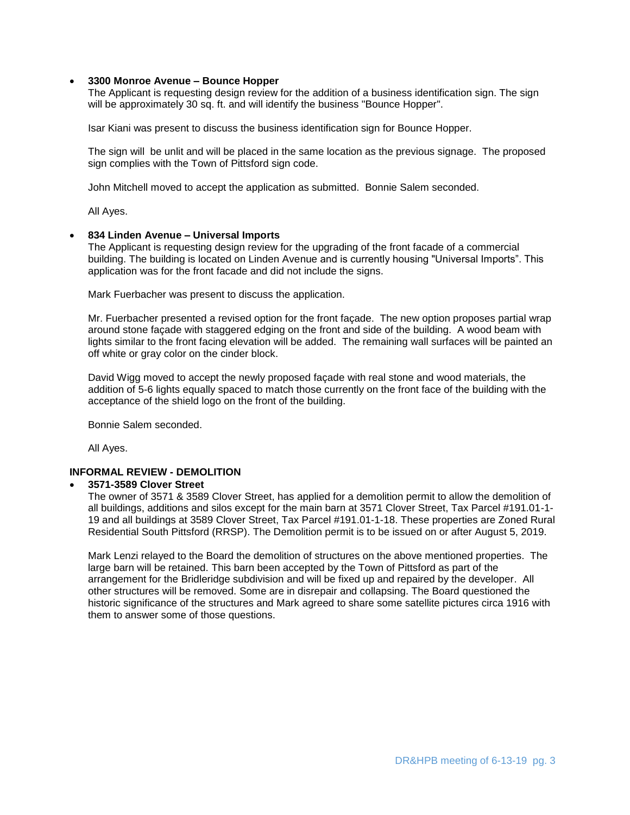### **3300 Monroe Avenue – Bounce Hopper**

The Applicant is requesting design review for the addition of a business identification sign. The sign will be approximately 30 sq. ft. and will identify the business "Bounce Hopper".

Isar Kiani was present to discuss the business identification sign for Bounce Hopper.

The sign will be unlit and will be placed in the same location as the previous signage. The proposed sign complies with the Town of Pittsford sign code.

John Mitchell moved to accept the application as submitted. Bonnie Salem seconded.

All Ayes.

#### **834 Linden Avenue – Universal Imports**

The Applicant is requesting design review for the upgrading of the front facade of a commercial building. The building is located on Linden Avenue and is currently housing "Universal Imports". This application was for the front facade and did not include the signs.

Mark Fuerbacher was present to discuss the application.

Mr. Fuerbacher presented a revised option for the front façade. The new option proposes partial wrap around stone façade with staggered edging on the front and side of the building. A wood beam with lights similar to the front facing elevation will be added. The remaining wall surfaces will be painted an off white or gray color on the cinder block.

David Wigg moved to accept the newly proposed façade with real stone and wood materials, the addition of 5-6 lights equally spaced to match those currently on the front face of the building with the acceptance of the shield logo on the front of the building.

Bonnie Salem seconded.

All Ayes.

## **INFORMAL REVIEW - DEMOLITION**

### **3571-3589 Clover Street**

The owner of 3571 & 3589 Clover Street, has applied for a demolition permit to allow the demolition of all buildings, additions and silos except for the main barn at 3571 Clover Street, Tax Parcel #191.01-1- 19 and all buildings at 3589 Clover Street, Tax Parcel #191.01-1-18. These properties are Zoned Rural Residential South Pittsford (RRSP). The Demolition permit is to be issued on or after August 5, 2019.

Mark Lenzi relayed to the Board the demolition of structures on the above mentioned properties. The large barn will be retained. This barn been accepted by the Town of Pittsford as part of the arrangement for the Bridleridge subdivision and will be fixed up and repaired by the developer. All other structures will be removed. Some are in disrepair and collapsing. The Board questioned the historic significance of the structures and Mark agreed to share some satellite pictures circa 1916 with them to answer some of those questions.